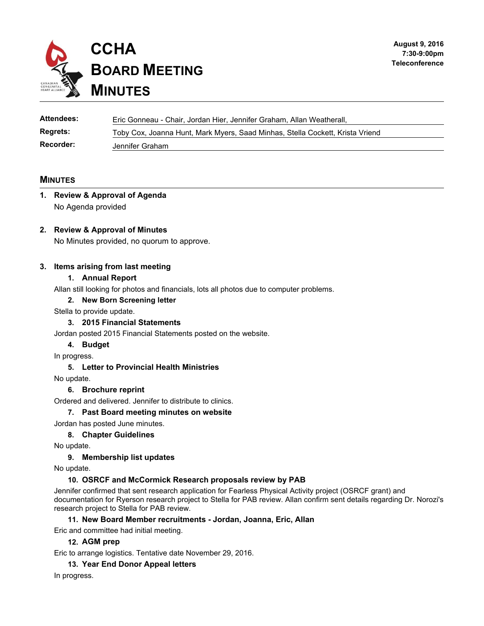

| Attendees:       | Eric Gonneau - Chair, Jordan Hier, Jennifer Graham, Allan Weatherall,         |
|------------------|-------------------------------------------------------------------------------|
| <b>Regrets:</b>  | Toby Cox, Joanna Hunt, Mark Myers, Saad Minhas, Stella Cockett, Krista Vriend |
| <b>Recorder:</b> | Jennifer Graham                                                               |

## **MINUTES**

## **1. Review & Approval of Agenda**  No Agenda provided

## **2. Review & Approval of Minutes**

No Minutes provided, no quorum to approve.

### **3. Items arising from last meeting**

#### **1. Annual Report**

Allan still looking for photos and financials, lots all photos due to computer problems.

#### **2. New Born Screening letter**

Stella to provide update.

### **3. 2015 Financial Statements**

Jordan posted 2015 Financial Statements posted on the website.

#### **4. Budget**

In progress.

#### **5. Letter to Provincial Health Ministries**

No update.

#### **6. Brochure reprint**

Ordered and delivered. Jennifer to distribute to clinics.

#### **7. Past Board meeting minutes on website**

Jordan has posted June minutes.

#### **8. Chapter Guidelines**

No update.

#### **9. Membership list updates**

No update.

#### **10. OSRCF and McCormick Research proposals review by PAB**

Jennifer confirmed that sent research application for Fearless Physical Activity project (OSRCF grant) and documentation for Ryerson research project to Stella for PAB review. Allan confirm sent details regarding Dr. Norozi's research project to Stella for PAB review.

#### **11. New Board Member recruitments - Jordan, Joanna, Eric, Allan**

Eric and committee had initial meeting.

#### **12. AGM prep**

Eric to arrange logistics. Tentative date November 29, 2016.

#### **13. Year End Donor Appeal letters**

In progress.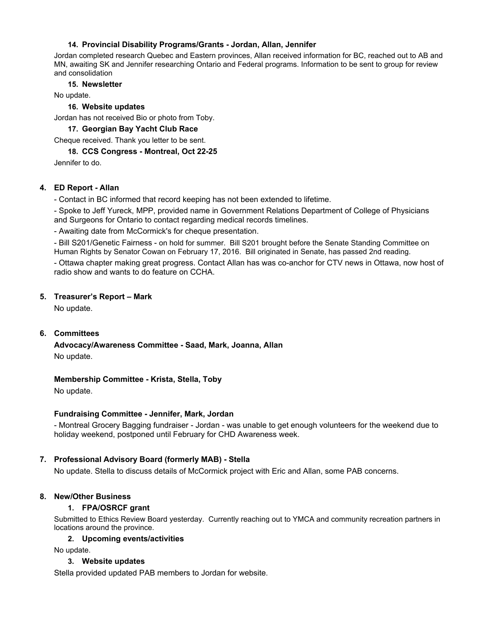## **14. Provincial Disability Programs/Grants - Jordan, Allan, Jennifer**

Jordan completed research Quebec and Eastern provinces, Allan received information for BC, reached out to AB and MN, awaiting SK and Jennifer researching Ontario and Federal programs. Information to be sent to group for review and consolidation

## **15. Newsletter**

No update.

## **16. Website updates**

Jordan has not received Bio or photo from Toby.

**17. Georgian Bay Yacht Club Race**

Cheque received. Thank you letter to be sent.

### **18. CCS Congress - Montreal, Oct 22-25**

Jennifer to do.

## **4. ED Report - Allan**

- Contact in BC informed that record keeping has not been extended to lifetime.

- Spoke to Jeff Yureck, MPP, provided name in Government Relations Department of College of Physicians and Surgeons for Ontario to contact regarding medical records timelines.

- Awaiting date from McCormick's for cheque presentation.

- Bill S201/Genetic Fairness - on hold for summer. Bill S201 brought before the Senate Standing Committee on Human Rights by Senator Cowan on February 17, 2016. Bill originated in Senate, has passed 2nd reading.

- Ottawa chapter making great progress. Contact Allan has was co-anchor for CTV news in Ottawa, now host of radio show and wants to do feature on CCHA.

## **5. Treasurer's Report – Mark**

No update.

## **6. Committees**

**Advocacy/Awareness Committee - Saad, Mark, Joanna, Allan**  No update.

**Membership Committee - Krista, Stella, Toby** 

No update.

### **Fundraising Committee - Jennifer, Mark, Jordan**

- Montreal Grocery Bagging fundraiser - Jordan - was unable to get enough volunteers for the weekend due to holiday weekend, postponed until February for CHD Awareness week.

### **7. Professional Advisory Board (formerly MAB) - Stella**

No update. Stella to discuss details of McCormick project with Eric and Allan, some PAB concerns.

## **8. New/Other Business**

## **1. FPA/OSRCF grant**

Submitted to Ethics Review Board yesterday. Currently reaching out to YMCA and community recreation partners in locations around the province.

## **2. Upcoming events/activities**

No update.

### **3. Website updates**

Stella provided updated PAB members to Jordan for website.